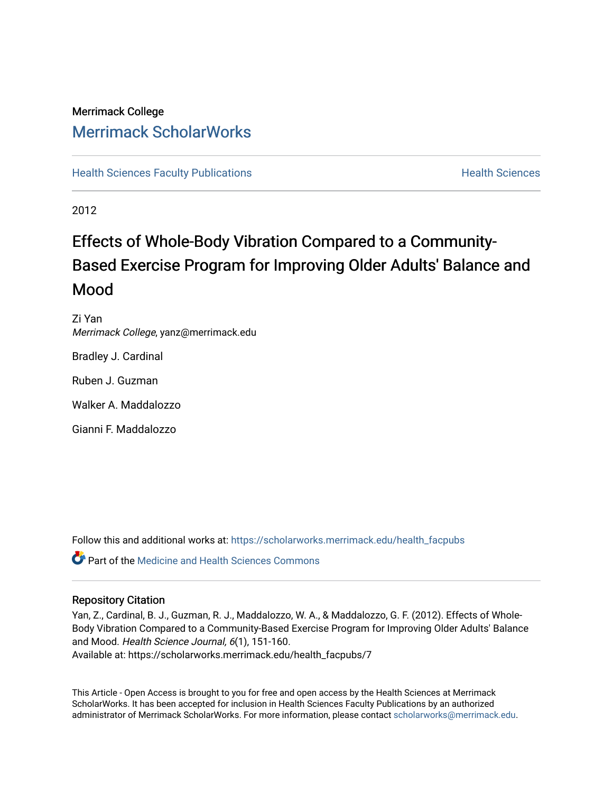## Merrimack College [Merrimack ScholarWorks](https://scholarworks.merrimack.edu/)

**[Health Sciences Faculty Publications](https://scholarworks.merrimack.edu/health_facpubs) Mealth Sciences Health Sciences** Health Sciences

2012

## Effects of Whole-Body Vibration Compared to a Community-Based Exercise Program for Improving Older Adults' Balance and Mood

Zi Yan Merrimack College, yanz@merrimack.edu

Bradley J. Cardinal

Ruben J. Guzman

Walker A. Maddalozzo

Gianni F. Maddalozzo

Follow this and additional works at: [https://scholarworks.merrimack.edu/health\\_facpubs](https://scholarworks.merrimack.edu/health_facpubs?utm_source=scholarworks.merrimack.edu%2Fhealth_facpubs%2F7&utm_medium=PDF&utm_campaign=PDFCoverPages) 

**P** Part of the Medicine and Health Sciences Commons

#### Repository Citation

Yan, Z., Cardinal, B. J., Guzman, R. J., Maddalozzo, W. A., & Maddalozzo, G. F. (2012). Effects of Whole-Body Vibration Compared to a Community-Based Exercise Program for Improving Older Adults' Balance and Mood. Health Science Journal, 6(1), 151-160. Available at: https://scholarworks.merrimack.edu/health\_facpubs/7

This Article - Open Access is brought to you for free and open access by the Health Sciences at Merrimack ScholarWorks. It has been accepted for inclusion in Health Sciences Faculty Publications by an authorized administrator of Merrimack ScholarWorks. For more information, please contact [scholarworks@merrimack.edu](mailto:scholarworks@merrimack.edu).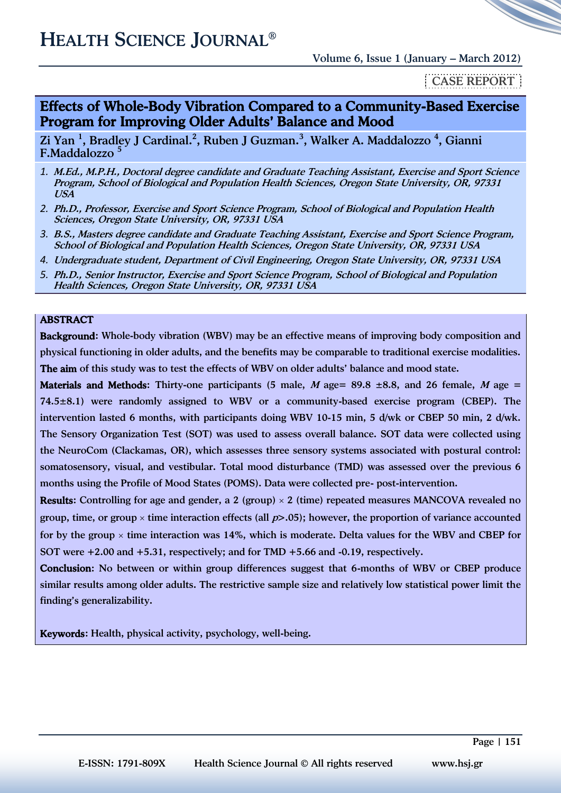### \_CASE REPORT\_

#### Effects of Whole-Body Vibration Compared to a Community-Based Exercise Program for Improving Older Adults' Balance and Mood

Zi Yan <sup>1</sup>, Bradley J Cardinal.<sup>2</sup>, Ruben J Guzman.<sup>3</sup>, Walker A. Maddalozzo <sup>4</sup>, Gianni F.Maddalozzo <sup>5</sup>

- *1.* M.Ed., M.P.H., Doctoral degree candidate and Graduate Teaching Assistant, Exercise and Sport Science Program, School of Biological and Population Health Sciences, Oregon State University, OR, 97331 USA
- *2.* Ph.D., Professor, Exercise and Sport Science Program, School of Biological and Population Health Sciences, Oregon State University, OR, 97331 USA
- *3.* B.S., Masters degree candidate and Graduate Teaching Assistant, Exercise and Sport Science Program, School of Biological and Population Health Sciences, Oregon State University, OR, 97331 USA
- *4.* Undergraduate student, Department of Civil Engineering, Oregon State University, OR, 97331 USA
- *5.* Ph.D., Senior Instructor, Exercise and Sport Science Program, School of Biological and Population Health Sciences, Oregon State University, OR, 97331 USA

#### ABSTRACT

Background: Whole-body vibration (WBV) may be an effective means of improving body composition and physical functioning in older adults, and the benefits may be comparable to traditional exercise modalities. The aim of this study was to test the effects of WBV on older adults' balance and mood state.

Materials and Methods: Thirty-one participants (5 male, M age = 89.8  $\pm$ 8.8, and 26 female, M age = 74.5±8.1) were randomly assigned to WBV or a community-based exercise program (CBEP). The intervention lasted 6 months, with participants doing WBV 10-15 min, 5 d/wk or CBEP 50 min, 2 d/wk. The Sensory Organization Test (SOT) was used to assess overall balance. SOT data were collected using the NeuroCom (Clackamas, OR), which assesses three sensory systems associated with postural control: somatosensory, visual, and vestibular. Total mood disturbance (TMD) was assessed over the previous 6 months using the Profile of Mood States (POMS). Data were collected pre- post-intervention.

**Results:** Controlling for age and gender, a 2 (group)  $\times$  2 (time) repeated measures MANCOVA revealed no group, time, or group  $\times$  time interaction effects (all  $p$ >.05); however, the proportion of variance accounted for by the group  $\times$  time interaction was 14%, which is moderate. Delta values for the WBV and CBEP for SOT were +2.00 and +5.31, respectively; and for TMD +5.66 and -0.19, respectively.

Conclusion: No between or within group differences suggest that 6-months of WBV or CBEP produce similar results among older adults. The restrictive sample size and relatively low statistical power limit the finding's generalizability.

Keywords: Health, physical activity, psychology, well-being.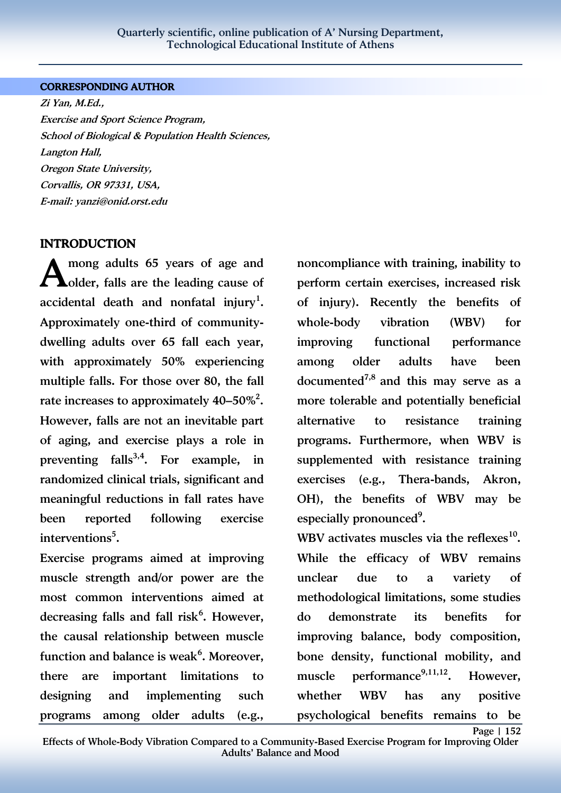#### CORRESPONDING AUTHOR

Zi Yan, M.Ed., Exercise and Sport Science Program, School of Biological & Population Health Sciences, Langton Hall, Oregon State University, Corvallis, OR 97331, USA, E-mail: yanzi@onid.orst.edu

#### INTRODUCTION

mong adults 65 years of age and A mong adults 65 years of age and<br> **A** older, falls are the leading cause of accidental death and nonfatal injury<sup>1</sup>. Approximately one-third of communitydwelling adults over 65 fall each year, with approximately 50% experiencing multiple falls. For those over 80, the fall rate increases to approximately 40–50%<sup>2</sup>. However, falls are not an inevitable part of aging, and exercise plays a role in preventing falls<sup>3,4</sup>. For example, in randomized clinical trials, significant and meaningful reductions in fall rates have been reported following exercise interventions<sup>5</sup>.

Exercise programs aimed at improving muscle strength and/or power are the most common interventions aimed at decreasing falls and fall risk<sup>6</sup>. However, the causal relationship between muscle function and balance is weak<sup>6</sup>. Moreover, there are important limitations to designing and implementing such programs among older adults (e.g.,

noncompliance with training, inability to perform certain exercises, increased risk of injury). Recently the benefits of whole-body vibration (WBV) for improving functional performance among older adults have been documented<sup>7,8</sup> and this may serve as a more tolerable and potentially beneficial alternative to resistance training programs. Furthermore, when WBV is supplemented with resistance training exercises (e.g., Thera-bands, Akron, OH), the benefits of WBV may be especially pronounced<sup>9</sup>.

WBV activates muscles via the reflexes $^{10}$ . While the efficacy of WBV remains unclear due to a variety of methodological limitations, some studies do demonstrate its benefits for improving balance, body composition, bone density, functional mobility, and muscle performance<sup>9,11,12</sup>. However, whether WBV has any positive psychological benefits remains to be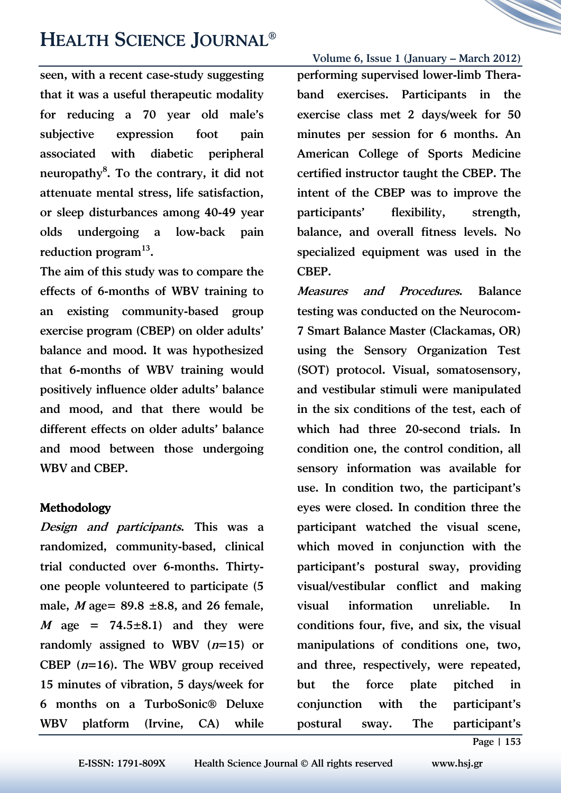# HEALTH SCIENCE JOURNAL®

seen, with a recent case-study suggesting that it was a useful therapeutic modality for reducing a 70 year old male's subjective expression foot pain associated with diabetic peripheral neuropathy<sup>8</sup>. To the contrary, it did not attenuate mental stress, life satisfaction, or sleep disturbances among 40-49 year olds undergoing a low-back pain reduction program<sup>13</sup>.

The aim of this study was to compare the effects of 6-months of WBV training to an existing community-based group exercise program (CBEP) on older adults' balance and mood. It was hypothesized that 6-months of WBV training would positively influence older adults' balance and mood, and that there would be different effects on older adults' balance and mood between those undergoing WBV and CBEP.

#### Methodology

Design and participants. This was a randomized, community-based, clinical trial conducted over 6-months. Thirtyone people volunteered to participate (5 male, *M* age=  $89.8 \pm 8.8$ , and 26 female, M age =  $74.5 \pm 8.1$  and they were randomly assigned to WBV  $(n=15)$  or CBEP  $(n=16)$ . The WBV group received 15 minutes of vibration, 5 days/week for 6 months on a TurboSonic® Deluxe WBV platform (Irvine, CA) while

Volume 6, Issue 1 (January – March 2012) performing supervised lower-limb Theraband exercises. Participants in the exercise class met 2 days/week for 50 minutes per session for 6 months. An American College of Sports Medicine certified instructor taught the CBEP. The intent of the CBEP was to improve the participants' flexibility, strength, balance, and overall fitness levels. No specialized equipment was used in the CBEP.

Measures and Procedures. Balance testing was conducted on the Neurocom-7 Smart Balance Master (Clackamas, OR) using the Sensory Organization Test (SOT) protocol. Visual, somatosensory, and vestibular stimuli were manipulated in the six conditions of the test, each of which had three 20-second trials. In condition one, the control condition, all sensory information was available for use. In condition two, the participant's eyes were closed. In condition three the participant watched the visual scene, which moved in conjunction with the participant's postural sway, providing visual/vestibular conflict and making visual information unreliable. In conditions four, five, and six, the visual manipulations of conditions one, two, and three, respectively, were repeated, but the force plate pitched in conjunction with the participant's postural sway. The participant's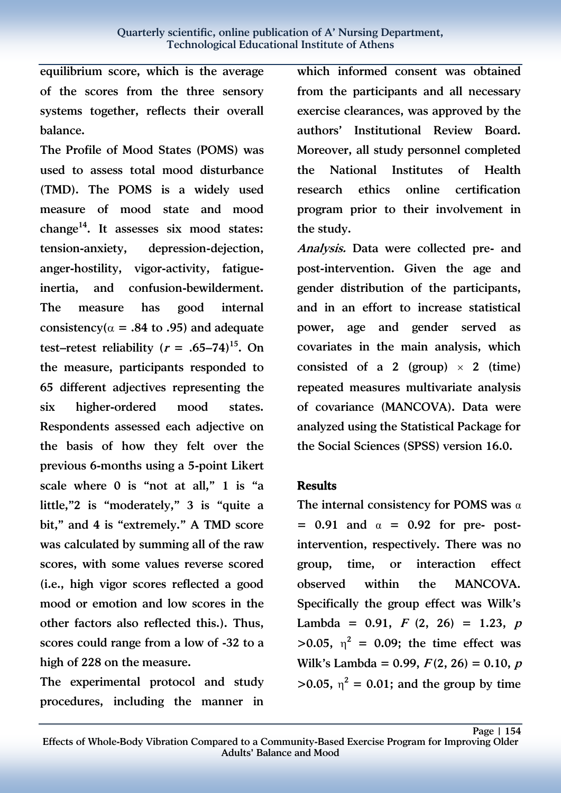equilibrium score, which is the average of the scores from the three sensory systems together, reflects their overall balance.

The Profile of Mood States (POMS) was used to assess total mood disturbance (TMD). The POMS is a widely used measure of mood state and mood change<sup>14</sup>. It assesses six mood states: tension-anxiety, depression-dejection, anger-hostility, vigor-activity, fatigueinertia, and confusion-bewilderment. The measure has good internal consistency( $\alpha$  = .84 to .95) and adequate test–retest reliability ( $r = .65-74$ )<sup>15</sup>. On the measure, participants responded to 65 different adjectives representing the six higher-ordered mood states. Respondents assessed each adjective on the basis of how they felt over the previous 6-months using a 5-point Likert scale where 0 is "not at all," 1 is "a little,"2 is "moderately," 3 is "quite a bit," and 4 is "extremely." A TMD score was calculated by summing all of the raw scores, with some values reverse scored (i.e., high vigor scores reflected a good mood or emotion and low scores in the other factors also reflected this.). Thus, scores could range from a low of -32 to a high of 228 on the measure.

The experimental protocol and study procedures, including the manner in

which informed consent was obtained from the participants and all necessary exercise clearances, was approved by the authors' Institutional Review Board. Moreover, all study personnel completed the National Institutes of Health research ethics online certification program prior to their involvement in the study.

Analysis. Data were collected pre- and post-intervention. Given the age and gender distribution of the participants, and in an effort to increase statistical power, age and gender served as covariates in the main analysis, which consisted of a 2 (group)  $\times$  2 (time) repeated measures multivariate analysis of covariance (MANCOVA). Data were analyzed using the Statistical Package for the Social Sciences (SPSS) version 16.0.

#### Results

The internal consistency for POMS was  $\alpha$  $= 0.91$  and  $\alpha = 0.92$  for pre- postintervention, respectively. There was no group, time, or interaction effect observed within the MANCOVA. Specifically the group effect was Wilk's Lambda = 0.91,  $F(2, 26) = 1.23$ ,  $p(x) = 1.23$  $>0.05$ ,  $\eta^2 = 0.09$ ; the time effect was Wilk's Lambda = 0.99,  $F(2, 26) = 0.10$ , p  $>0.05$ ,  $\eta^2 = 0.01$ ; and the group by time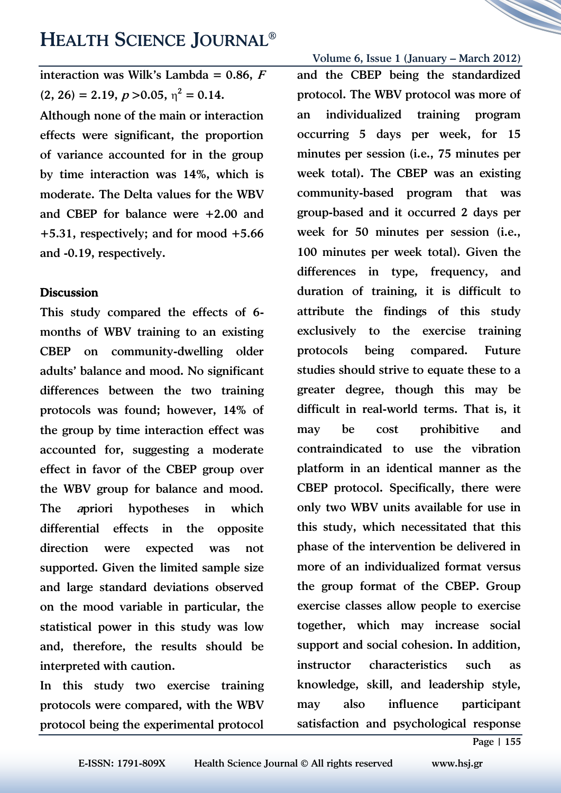## HEALTH SCIENCE JOURNAL®

interaction was Wilk's Lambda =  $0.86$ , F  $(2, 26) = 2.19, p > 0.05, \eta^2 = 0.14.$ 

Although none of the main or interaction effects were significant, the proportion of variance accounted for in the group by time interaction was 14%, which is moderate. The Delta values for the WBV and CBEP for balance were +2.00 and +5.31, respectively; and for mood +5.66 and -0.19, respectively.

#### **Discussion**

This study compared the effects of 6 months of WBV training to an existing CBEP on community-dwelling older adults' balance and mood. No significant differences between the two training protocols was found; however, 14% of the group by time interaction effect was accounted for, suggesting a moderate effect in favor of the CBEP group over the WBV group for balance and mood. The apriori hypotheses in which differential effects in the opposite direction were expected was not supported. Given the limited sample size and large standard deviations observed on the mood variable in particular, the statistical power in this study was low and, therefore, the results should be interpreted with caution.

In this study two exercise training protocols were compared, with the WBV protocol being the experimental protocol

Volume 6, Issue 1 (January – March 2012) and the CBEP being the standardized protocol. The WBV protocol was more of an individualized training program occurring 5 days per week, for 15 minutes per session (i.e., 75 minutes per week total). The CBEP was an existing community-based program that was group-based and it occurred 2 days per week for 50 minutes per session (i.e., 100 minutes per week total). Given the differences in type, frequency, and duration of training, it is difficult to attribute the findings of this study exclusively to the exercise training protocols being compared. Future studies should strive to equate these to a greater degree, though this may be difficult in real-world terms. That is, it may be cost prohibitive and contraindicated to use the vibration platform in an identical manner as the CBEP protocol. Specifically, there were only two WBV units available for use in this study, which necessitated that this phase of the intervention be delivered in more of an individualized format versus the group format of the CBEP. Group exercise classes allow people to exercise together, which may increase social support and social cohesion. In addition, instructor characteristics such as knowledge, skill, and leadership style, may also influence participant satisfaction and psychological response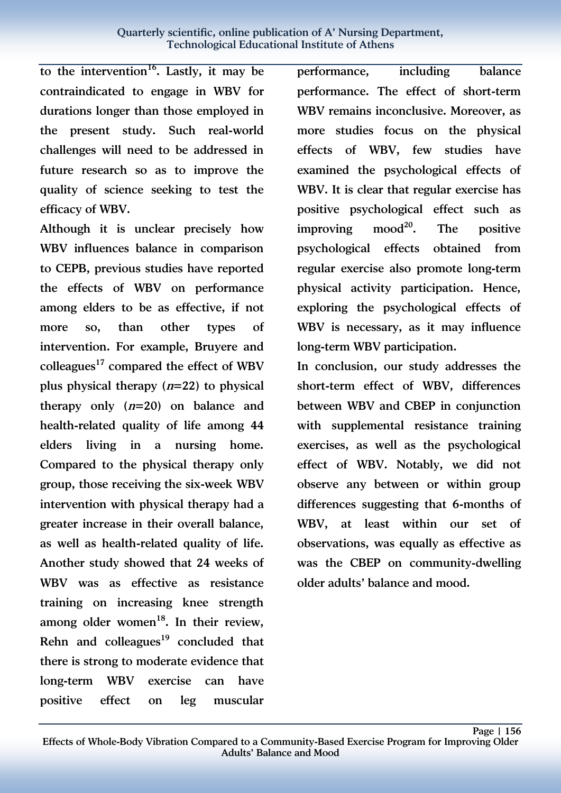to the intervention<sup>16</sup>. Lastly, it may be contraindicated to engage in WBV for durations longer than those employed in the present study. Such real-world challenges will need to be addressed in future research so as to improve the quality of science seeking to test the efficacy of WBV.

Although it is unclear precisely how WBV influences balance in comparison to CEPB, previous studies have reported the effects of WBV on performance among elders to be as effective, if not more so, than other types of intervention. For example, Bruyere and colleagues<sup>17</sup> compared the effect of WBV plus physical therapy  $(n=22)$  to physical therapy only  $(n=20)$  on balance and health-related quality of life among 44 elders living in a nursing home. Compared to the physical therapy only group, those receiving the six-week WBV intervention with physical therapy had a greater increase in their overall balance, as well as health-related quality of life. Another study showed that 24 weeks of WBV was as effective as resistance training on increasing knee strength among older women $18$ . In their review, Rehn and colleagues $19$  concluded that there is strong to moderate evidence that long-term WBV exercise can have positive effect on leg muscular

performance, including balance performance. The effect of short-term WBV remains inconclusive. Moreover, as more studies focus on the physical effects of WBV, few studies have examined the psychological effects of WBV. It is clear that regular exercise has positive psychological effect such as improving mood<sup>20</sup>. The positive psychological effects obtained from regular exercise also promote long-term physical activity participation. Hence, exploring the psychological effects of WBV is necessary, as it may influence long-term WBV participation.

In conclusion, our study addresses the short-term effect of WBV, differences between WBV and CBEP in conjunction with supplemental resistance training exercises, as well as the psychological effect of WBV. Notably, we did not observe any between or within group differences suggesting that 6-months of WBV, at least within our set of observations, was equally as effective as was the CBEP on community-dwelling older adults' balance and mood.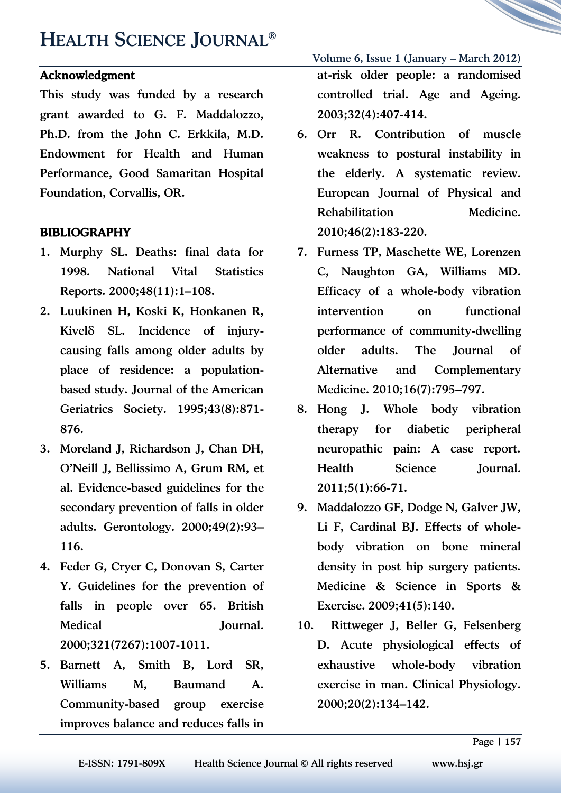# HEALTH SCIENCE JOURNAL®

#### Acknowledgment

This study was funded by a research grant awarded to G. F. Maddalozzo, Ph.D. from the John C. Erkkila, M.D. Endowment for Health and Human Performance, Good Samaritan Hospital Foundation, Corvallis, OR.

#### BIBLIOGRAPHY

- 1. Murphy SL. Deaths: final data for 1998. National Vital Statistics Reports. 2000;48(11):1–108.
- 2. Luukinen H, Koski K, Honkanen R, Kivelä SL. Incidence of injurycausing falls among older adults by place of residence: a populationbased study. Journal of the American Geriatrics Society. 1995;43(8):871- 876.
- 3. Moreland J, Richardson J, Chan DH, O'Neill J, Bellissimo A, Grum RM, et al. Evidence-based guidelines for the secondary prevention of falls in older adults. Gerontology. 2000;49(2):93– 116.
- 4. Feder G, Cryer C, Donovan S, Carter Y. Guidelines for the prevention of falls in people over 65. British Medical Journal. 2000;321(7267):1007-1011.
- 5. Barnett A, Smith B, Lord SR, Williams M, Baumand A. Community-based group exercise improves balance and reduces falls in

Volume 6, Issue 1 (January – March 2012) at-risk older people: a randomised controlled trial. Age and Ageing. 2003;32(4):407-414.

- 6. Orr R. Contribution of muscle weakness to postural instability in the elderly. A systematic review. European Journal of Physical and Rehabilitation Medicine. 2010;46(2):183-220.
- 7. Furness TP, Maschette WE, Lorenzen C, Naughton GA, Williams MD. Efficacy of a whole-body vibration intervention on functional performance of community-dwelling older adults. The Journal of Alternative and Complementary Medicine. 2010;16(7):795–797.
- 8. Hong J. Whole body vibration therapy for diabetic peripheral neuropathic pain: A case report. Health Science Journal. 2011;5(1):66-71.
- 9. Maddalozzo GF, Dodge N, Galver JW, Li F, Cardinal BJ. Effects of wholebody vibration on bone mineral density in post hip surgery patients. Medicine & Science in Sports & Exercise. 2009;41(5):140.
- 10. Rittweger J, Beller G, Felsenberg D. Acute physiological effects of exhaustive whole-body vibration exercise in man. Clinical Physiology. 2000;20(2):134–142.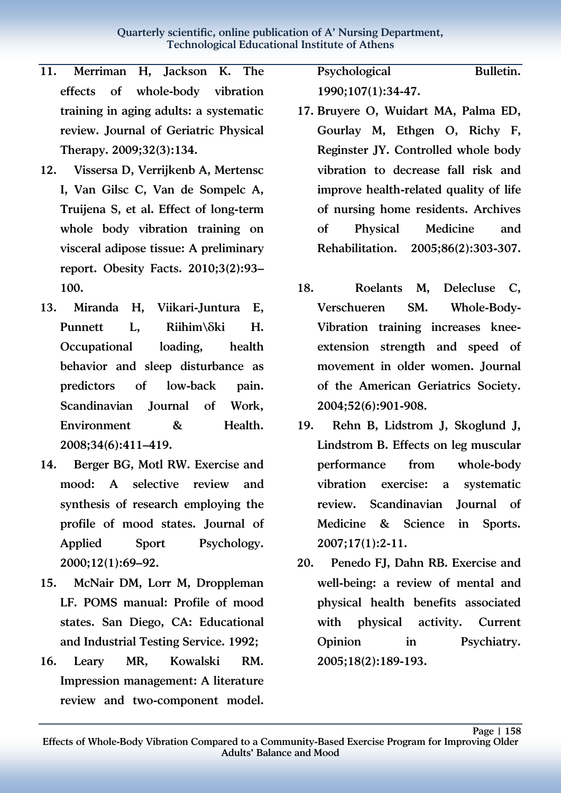- 11. Merriman H, Jackson K. The effects of whole-body vibration training in aging adults: a systematic review. Journal of Geriatric Physical Therapy. 2009;32(3):134.
- 12. Vissersa D, Verrijkenb A, Mertensc I, Van Gilsc C, Van de Sompelc A, Truijena S, et al. Effect of long-term whole body vibration training on visceral adipose tissue: A preliminary report. Obesity Facts. 2010;3(2):93– 100.
- 13. Miranda H, Viikari-Juntura E, Punnett L. Riihim\ $\delta$ ki H. Occupational loading, health behavior and sleep disturbance as predictors of low-back pain. Scandinavian Journal of Work, Environment & Health. 2008;34(6):411–419.
- 14. Berger BG, Motl RW. Exercise and mood: A selective review and synthesis of research employing the profile of mood states. Journal of Applied Sport Psychology. 2000;12(1):69–92.
- 15. McNair DM, Lorr M, Droppleman LF. POMS manual: Profile of mood states. San Diego, CA: Educational and Industrial Testing Service. 1992;
- 16. Leary MR, Kowalski RM. Impression management: A literature review and two-component model.

Psychological Bulletin. 1990;107(1):34-47.

- 17. Bruyere O, Wuidart MA, Palma ED, Gourlay M, Ethgen O, Richy F, Reginster JY. Controlled whole body vibration to decrease fall risk and improve health-related quality of life of nursing home residents. Archives of Physical Medicine and Rehabilitation. 2005;86(2):303-307.
- 18. Roelants M, Delecluse C, Verschueren SM. Whole-Body-Vibration training increases kneeextension strength and speed of movement in older women. Journal of the American Geriatrics Society. 2004;52(6):901-908.
- 19. Rehn B, Lidstrom J, Skoglund J, Lindstrom B. Effects on leg muscular performance from whole-body vibration exercise: a systematic review. Scandinavian Journal of Medicine & Science in Sports. 2007;17(1):2-11.
- 20. Penedo FJ, Dahn RB. Exercise and well-being: a review of mental and physical health benefits associated with physical activity. Current Opinion in Psychiatry. 2005;18(2):189-193.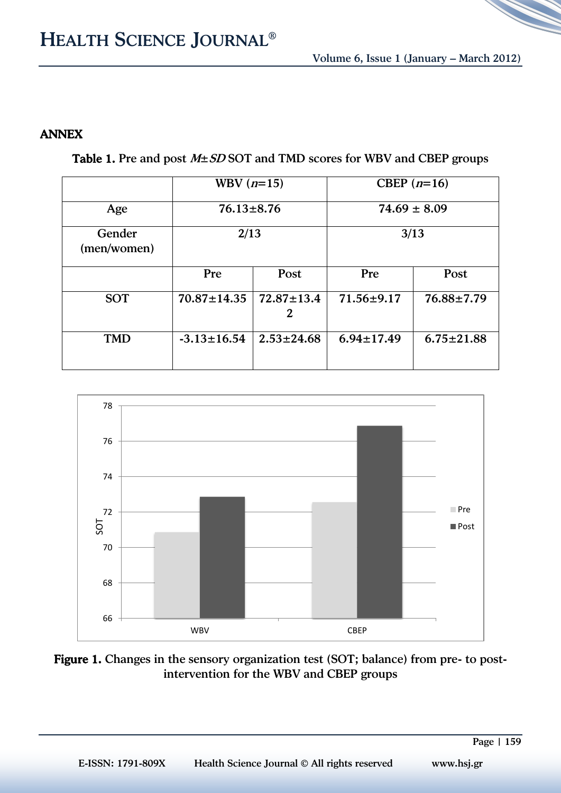### ANNEX

Table 1. Pre and post  $M \pm SD$  SOT and TMD scores for WBV and CBEP groups

|                       | WBV $(n=15)$      |                       | CBEP $(n=16)$    |                  |
|-----------------------|-------------------|-----------------------|------------------|------------------|
| Age                   | $76.13 \pm 8.76$  |                       | $74.69 \pm 8.09$ |                  |
| Gender<br>(men/women) | 2/13              |                       | 3/13             |                  |
|                       | Pre               | Post                  | Pre              | Post             |
| <b>SOT</b>            | $70.87 \pm 14.35$ | $72.87 \pm 13.4$<br>2 | $71.56 \pm 9.17$ | $76.88 \pm 7.79$ |
| <b>TMD</b>            | $-3.13 \pm 16.54$ | $2.53 \pm 24.68$      | $6.94 \pm 17.49$ | $6.75 \pm 21.88$ |



#### Figure 1. Changes in the sensory organization test (SOT; balance) from pre- to postintervention for the WBV and CBEP groups